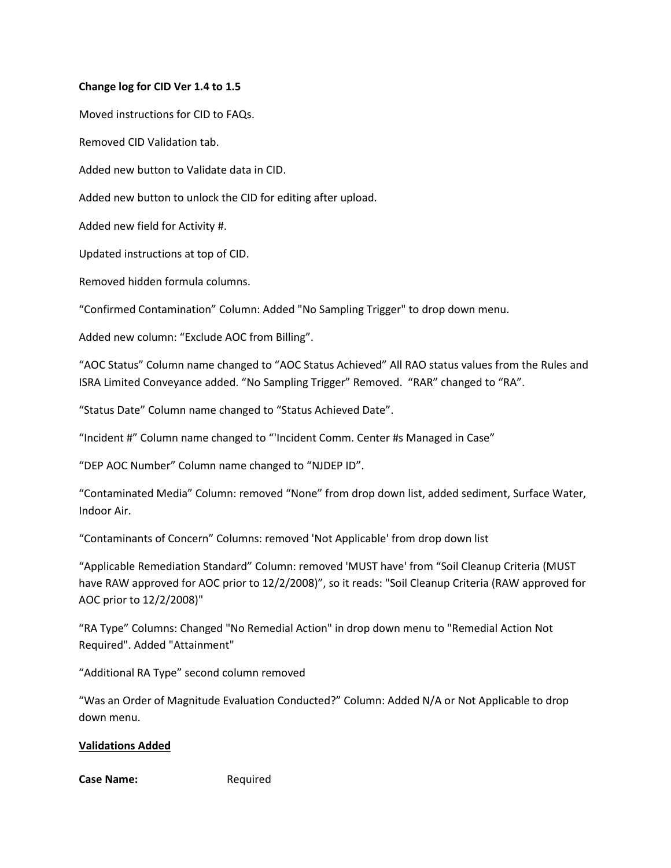## **Change log for CID Ver 1.4 to 1.5**

Moved instructions for CID to FAQs.

Removed CID Validation tab.

Added new button to Validate data in CID.

Added new button to unlock the CID for editing after upload.

Added new field for Activity #.

Updated instructions at top of CID.

Removed hidden formula columns.

"Confirmed Contamination" Column: Added "No Sampling Trigger" to drop down menu.

Added new column: "Exclude AOC from Billing".

"AOC Status" Column name changed to "AOC Status Achieved" All RAO status values from the Rules and ISRA Limited Conveyance added. "No Sampling Trigger" Removed. "RAR" changed to "RA".

"Status Date" Column name changed to "Status Achieved Date".

"Incident #" Column name changed to "'Incident Comm. Center #s Managed in Case"

"DEP AOC Number" Column name changed to "NJDEP ID".

"Contaminated Media" Column: removed "None" from drop down list, added sediment, Surface Water, Indoor Air.

"Contaminants of Concern" Columns: removed 'Not Applicable' from drop down list

"Applicable Remediation Standard" Column: removed 'MUST have' from "Soil Cleanup Criteria (MUST have RAW approved for AOC prior to 12/2/2008)", so it reads: "Soil Cleanup Criteria (RAW approved for AOC prior to 12/2/2008)"

"RA Type" Columns: Changed "No Remedial Action" in drop down menu to "Remedial Action Not Required". Added "Attainment"

"Additional RA Type" second column removed

"Was an Order of Magnitude Evaluation Conducted?" Column: Added N/A or Not Applicable to drop down menu.

## **Validations Added**

Case Name: Required